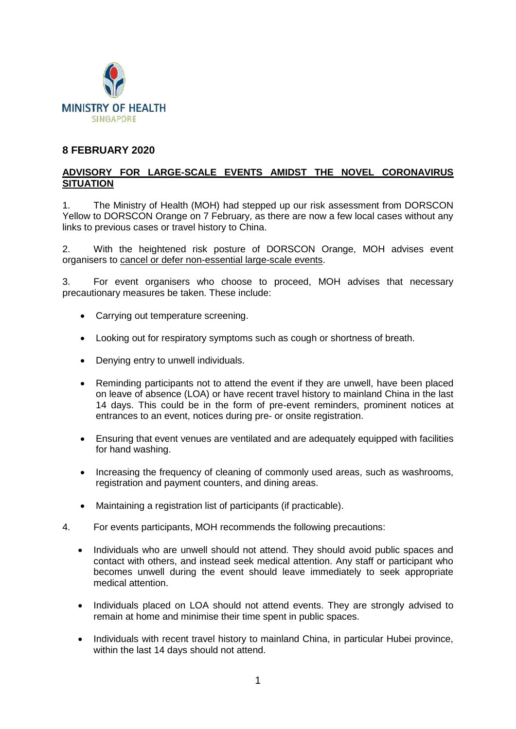

### **8 FEBRUARY 2020**

### **ADVISORY FOR LARGE-SCALE EVENTS AMIDST THE NOVEL CORONAVIRUS SITUATION**

1. The Ministry of Health (MOH) had stepped up our risk assessment from DORSCON Yellow to DORSCON Orange on 7 February, as there are now a few local cases without any links to previous cases or travel history to China.

2. With the heightened risk posture of DORSCON Orange, MOH advises event organisers to cancel or defer non-essential large-scale events.

3. For event organisers who choose to proceed, MOH advises that necessary precautionary measures be taken. These include:

- Carrying out temperature screening.
- Looking out for respiratory symptoms such as cough or shortness of breath.
- Denying entry to unwell individuals.
- Reminding participants not to attend the event if they are unwell, have been placed on leave of absence (LOA) or have recent travel history to mainland China in the last 14 days. This could be in the form of pre-event reminders, prominent notices at entrances to an event, notices during pre- or onsite registration.
- Ensuring that event venues are ventilated and are adequately equipped with facilities for hand washing.
- Increasing the frequency of cleaning of commonly used areas, such as washrooms, registration and payment counters, and dining areas.
- Maintaining a registration list of participants (if practicable).
- 4. For events participants, MOH recommends the following precautions:
	- Individuals who are unwell should not attend. They should avoid public spaces and contact with others, and instead seek medical attention. Any staff or participant who becomes unwell during the event should leave immediately to seek appropriate medical attention.
	- Individuals placed on LOA should not attend events. They are strongly advised to remain at home and minimise their time spent in public spaces.
	- Individuals with recent travel history to mainland China, in particular Hubei province, within the last 14 days should not attend.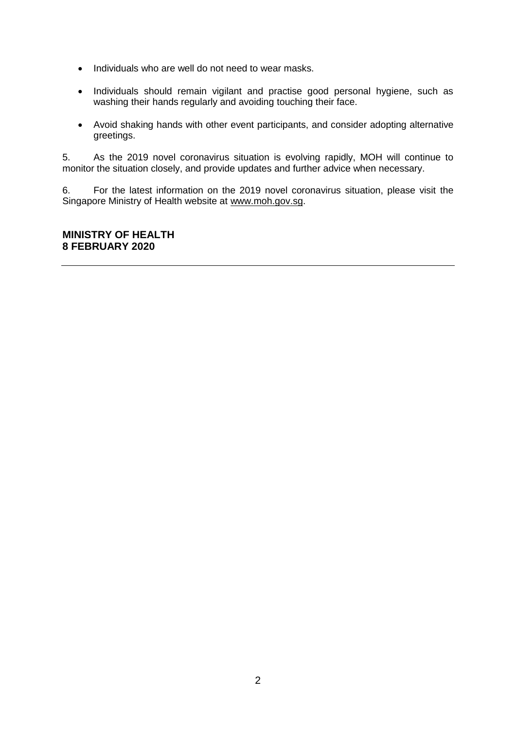- Individuals who are well do not need to wear masks.
- Individuals should remain vigilant and practise good personal hygiene, such as washing their hands regularly and avoiding touching their face.
- Avoid shaking hands with other event participants, and consider adopting alternative greetings.

5. As the 2019 novel coronavirus situation is evolving rapidly, MOH will continue to monitor the situation closely, and provide updates and further advice when necessary.

6. For the latest information on the 2019 novel coronavirus situation, please visit the Singapore Ministry of Health website at [www.moh.gov.sg.](http://www.moh.gov.sg/)

### **MINISTRY OF HEALTH 8 FEBRUARY 2020**